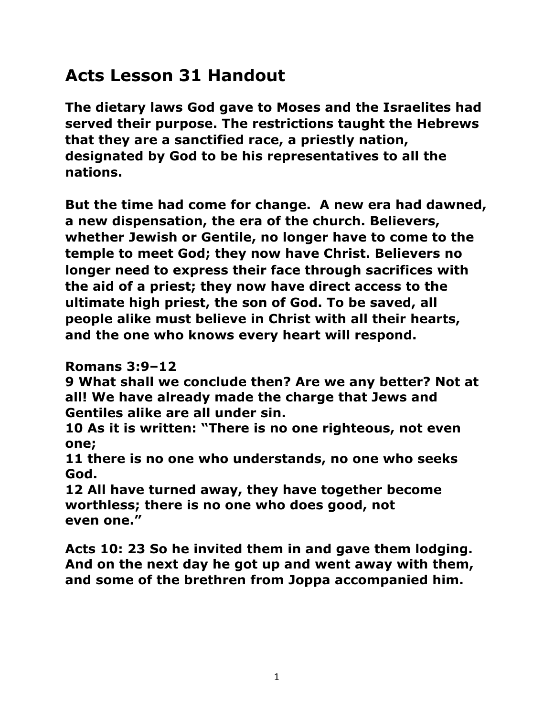## **Acts Lesson 31 Handout**

**The dietary laws God gave to Moses and the Israelites had served their purpose. The restrictions taught the Hebrews that they are a sanctified race, a priestly nation, designated by God to be his representatives to all the nations.** 

**But the time had come for change. A new era had dawned, a new dispensation, the era of the church. Believers, whether Jewish or Gentile, no longer have to come to the temple to meet God; they now have Christ. Believers no longer need to express their face through sacrifices with the aid of a priest; they now have direct access to the ultimate high priest, the son of God. To be saved, all people alike must believe in Christ with all their hearts, and the one who knows every heart will respond.**

## **Romans 3:9–12**

**9 What shall we conclude then? Are we any better? Not at all! We have already made the charge that Jews and Gentiles alike are all under sin.** 

**10 As it is written: "There is no one righteous, not even one;** 

**11 there is no one who understands, no one who seeks God.** 

**12 All have turned away, they have together become worthless; there is no one who does good, not even one."** 

**Acts 10: 23 So he invited them in and gave them lodging. And on the next day he got up and went away with them, and some of the brethren from Joppa accompanied him.**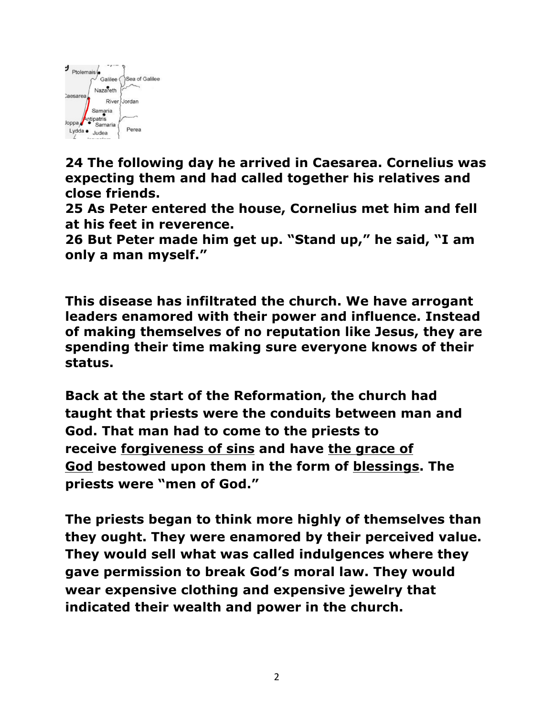

**24 The following day he arrived in Caesarea. Cornelius was expecting them and had called together his relatives and close friends.** 

**25 As Peter entered the house, Cornelius met him and fell at his feet in reverence.** 

**26 But Peter made him get up. "Stand up," he said, "I am only a man myself."** 

**This disease has infiltrated the church. We have arrogant leaders enamored with their power and influence. Instead of making themselves of no reputation like Jesus, they are spending their time making sure everyone knows of their status.** 

**Back at the start of the Reformation, the church had taught that priests were the conduits between man and God. That man had to come to the priests to receive forgiveness of sins and have the grace of God bestowed upon them in the form of blessings. The priests were "men of God."**

**The priests began to think more highly of themselves than they ought. They were enamored by their perceived value. They would sell what was called indulgences where they gave permission to break God's moral law. They would wear expensive clothing and expensive jewelry that indicated their wealth and power in the church.**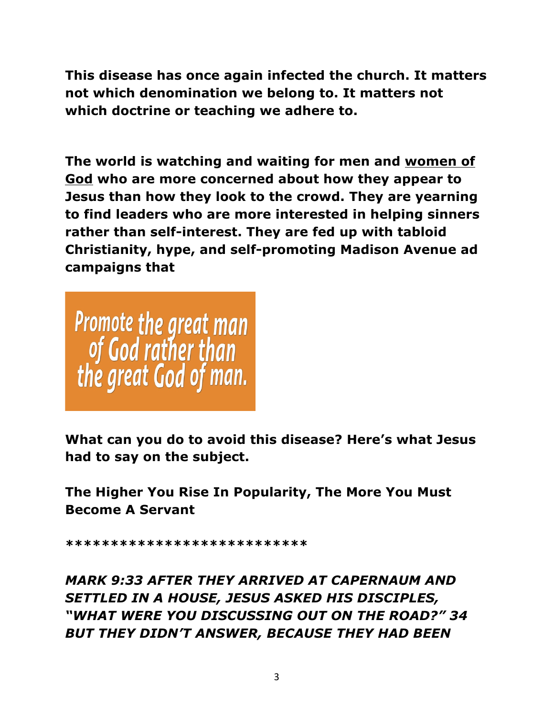**This disease has once again infected the church. It matters not which denomination we belong to. It matters not which doctrine or teaching we adhere to.**

**The world is watching and waiting for men and women of God who are more concerned about how they appear to Jesus than how they look to the crowd. They are yearning to find leaders who are more interested in helping sinners rather than self-interest. They are fed up with tabloid Christianity, hype, and self-promoting Madison Avenue ad campaigns that**



**What can you do to avoid this disease? Here's what Jesus had to say on the subject.**

**The Higher You Rise In Popularity, The More You Must Become A Servant**

**\*\*\*\*\*\*\*\*\*\*\*\*\*\*\*\*\*\*\*\*\*\*\*\*\*\*\***

*MARK 9:33 AFTER THEY ARRIVED AT CAPERNAUM AND SETTLED IN A HOUSE, JESUS ASKED HIS DISCIPLES, "WHAT WERE YOU DISCUSSING OUT ON THE ROAD?" 34 BUT THEY DIDN'T ANSWER, BECAUSE THEY HAD BEEN*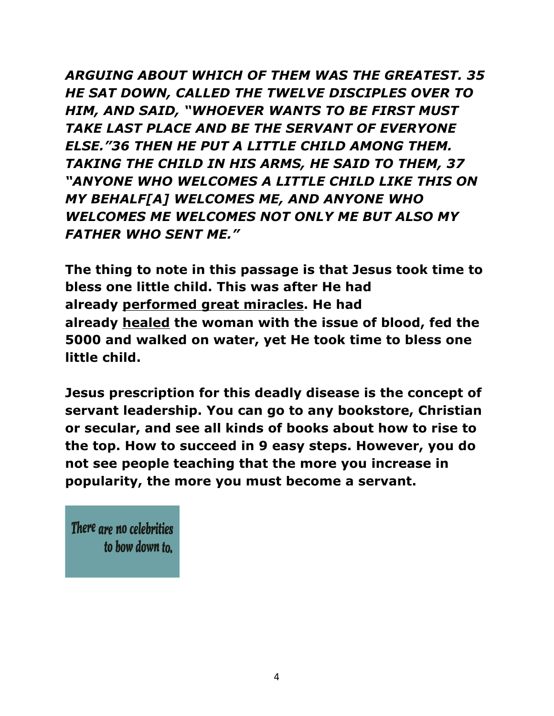*ARGUING ABOUT WHICH OF THEM WAS THE GREATEST. 35 HE SAT DOWN, CALLED THE TWELVE DISCIPLES OVER TO HIM, AND SAID, "WHOEVER WANTS TO BE FIRST MUST TAKE LAST PLACE AND BE THE SERVANT OF EVERYONE ELSE."36 THEN HE PUT A LITTLE CHILD AMONG THEM. TAKING THE CHILD IN HIS ARMS, HE SAID TO THEM, 37 "ANYONE WHO WELCOMES A LITTLE CHILD LIKE THIS ON MY BEHALF[A] WELCOMES ME, AND ANYONE WHO WELCOMES ME WELCOMES NOT ONLY ME BUT ALSO MY FATHER WHO SENT ME."*

**The thing to note in this passage is that Jesus took time to bless one little child. This was after He had already performed great miracles. He had already healed the woman with the issue of blood, fed the 5000 and walked on water, yet He took time to bless one little child.**

**Jesus prescription for this deadly disease is the concept of servant leadership. You can go to any bookstore, Christian or secular, and see all kinds of books about how to rise to the top. How to succeed in 9 easy steps. However, you do not see people teaching that the more you increase in popularity, the more you must become a servant.**

There are no celebrities to bow down to.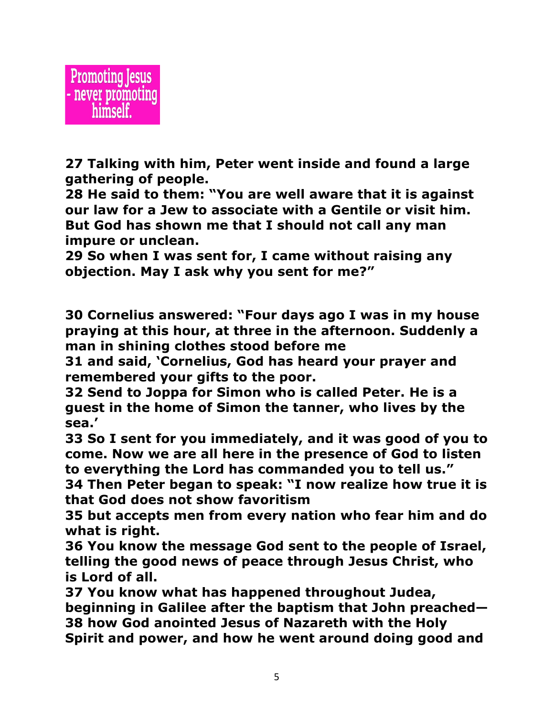

**27 Talking with him, Peter went inside and found a large gathering of people.** 

**28 He said to them: "You are well aware that it is against our law for a Jew to associate with a Gentile or visit him. But God has shown me that I should not call any man impure or unclean.** 

**29 So when I was sent for, I came without raising any objection. May I ask why you sent for me?"**

**30 Cornelius answered: "Four days ago I was in my house praying at this hour, at three in the afternoon. Suddenly a man in shining clothes stood before me** 

**31 and said, 'Cornelius, God has heard your prayer and remembered your gifts to the poor.** 

**32 Send to Joppa for Simon who is called Peter. He is a guest in the home of Simon the tanner, who lives by the sea.'** 

**33 So I sent for you immediately, and it was good of you to come. Now we are all here in the presence of God to listen to everything the Lord has commanded you to tell us."** 

**34 Then Peter began to speak: "I now realize how true it is that God does not show favoritism** 

**35 but accepts men from every nation who fear him and do what is right.**

**36 You know the message God sent to the people of Israel, telling the good news of peace through Jesus Christ, who is Lord of all.** 

**37 You know what has happened throughout Judea,** 

**beginning in Galilee after the baptism that John preached— 38 how God anointed Jesus of Nazareth with the Holy Spirit and power, and how he went around doing good and**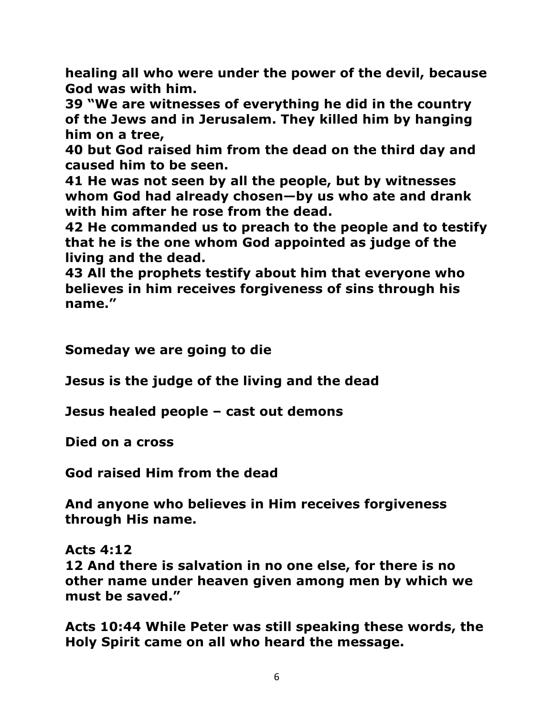**healing all who were under the power of the devil, because God was with him.** 

**39 "We are witnesses of everything he did in the country of the Jews and in Jerusalem. They killed him by hanging him on a tree,** 

**40 but God raised him from the dead on the third day and caused him to be seen.** 

**41 He was not seen by all the people, but by witnesses whom God had already chosen—by us who ate and drank with him after he rose from the dead.** 

**42 He commanded us to preach to the people and to testify that he is the one whom God appointed as judge of the living and the dead.** 

**43 All the prophets testify about him that everyone who believes in him receives forgiveness of sins through his name."** 

**Someday we are going to die**

**Jesus is the judge of the living and the dead** 

**Jesus healed people – cast out demons**

**Died on a cross**

**God raised Him from the dead**

**And anyone who believes in Him receives forgiveness through His name.**

**Acts 4:12 12 And there is salvation in no one else, for there is no other name under heaven given among men by which we must be saved."** 

**Acts 10:44 While Peter was still speaking these words, the Holy Spirit came on all who heard the message.**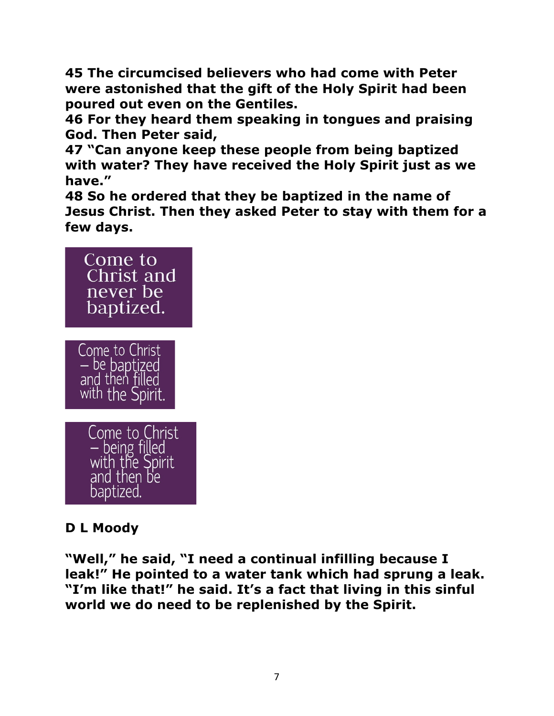**45 The circumcised believers who had come with Peter were astonished that the gift of the Holy Spirit had been poured out even on the Gentiles.** 

**46 For they heard them speaking in tongues and praising God. Then Peter said,** 

**47 "Can anyone keep these people from being baptized with water? They have received the Holy Spirit just as we have."** 

**48 So he ordered that they be baptized in the name of Jesus Christ. Then they asked Peter to stay with them for a few days.** 



## **D L Moody**

**"Well," he said, "I need a continual infilling because I leak!" He pointed to a water tank which had sprung a leak. "I'm like that!" he said. It's a fact that living in this sinful world we do need to be replenished by the Spirit.**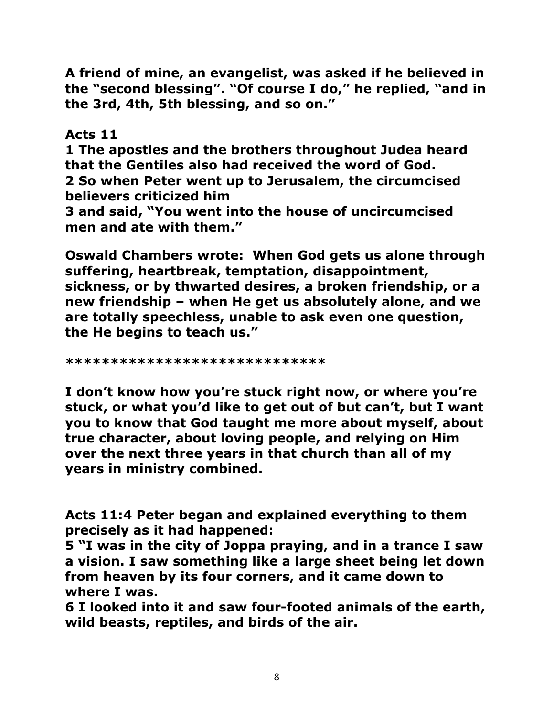**A friend of mine, an evangelist, was asked if he believed in the "second blessing". "Of course I do," he replied, "and in the 3rd, 4th, 5th blessing, and so on."**

## **Acts 11**

**1 The apostles and the brothers throughout Judea heard that the Gentiles also had received the word of God. 2 So when Peter went up to Jerusalem, the circumcised believers criticized him** 

**3 and said, "You went into the house of uncircumcised men and ate with them."** 

**Oswald Chambers wrote: When God gets us alone through suffering, heartbreak, temptation, disappointment, sickness, or by thwarted desires, a broken friendship, or a new friendship – when He get us absolutely alone, and we are totally speechless, unable to ask even one question, the He begins to teach us."**

**\*\*\*\*\*\*\*\*\*\*\*\*\*\*\*\*\*\*\*\*\*\*\*\*\*\*\*\*\***

**I don't know how you're stuck right now, or where you're stuck, or what you'd like to get out of but can't, but I want you to know that God taught me more about myself, about true character, about loving people, and relying on Him over the next three years in that church than all of my years in ministry combined.**

**Acts 11:4 Peter began and explained everything to them precisely as it had happened:** 

**5 "I was in the city of Joppa praying, and in a trance I saw a vision. I saw something like a large sheet being let down from heaven by its four corners, and it came down to where I was.** 

**6 I looked into it and saw four-footed animals of the earth, wild beasts, reptiles, and birds of the air.**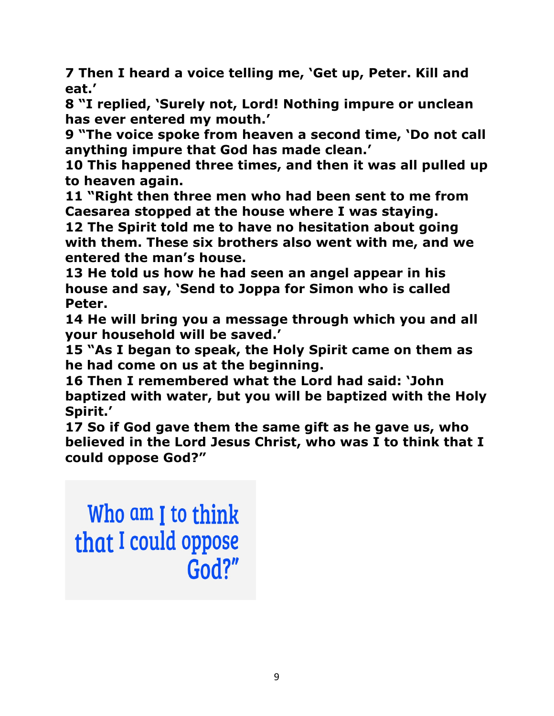**7 Then I heard a voice telling me, 'Get up, Peter. Kill and eat.'** 

**8 "I replied, 'Surely not, Lord! Nothing impure or unclean has ever entered my mouth.'** 

**9 "The voice spoke from heaven a second time, 'Do not call anything impure that God has made clean.'** 

**10 This happened three times, and then it was all pulled up to heaven again.** 

**11 "Right then three men who had been sent to me from Caesarea stopped at the house where I was staying.** 

**12 The Spirit told me to have no hesitation about going with them. These six brothers also went with me, and we entered the man's house.** 

**13 He told us how he had seen an angel appear in his house and say, 'Send to Joppa for Simon who is called Peter.** 

**14 He will bring you a message through which you and all your household will be saved.'** 

**15 "As I began to speak, the Holy Spirit came on them as he had come on us at the beginning.** 

**16 Then I remembered what the Lord had said: 'John baptized with water, but you will be baptized with the Holy Spirit.'** 

**17 So if God gave them the same gift as he gave us, who believed in the Lord Jesus Christ, who was I to think that I could oppose God?"** 

Who am I to think that I could oppose God?"